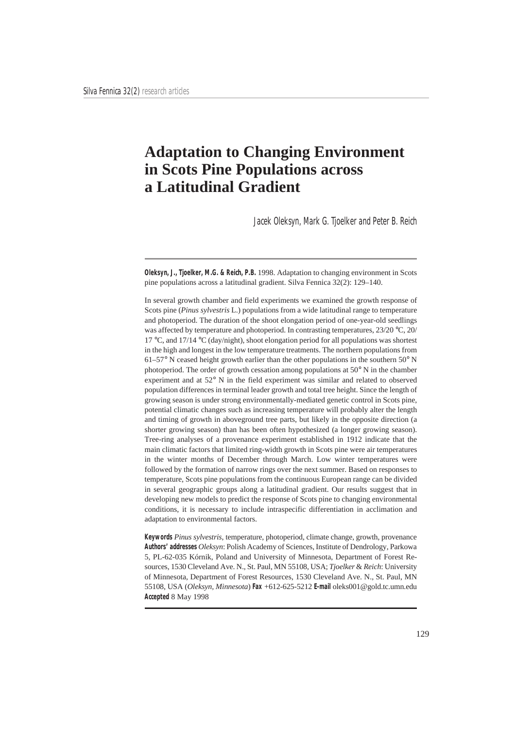# **Adaptation to Changing Environment in Scots Pine Populations across a Latitudinal Gradient**

Jacek Oleksyn, Mark G. Tjoelker and Peter B. Reich

**Oleksyn, J., Tjoelker, M.G. & Reich, P.B.** 1998. Adaptation to changing environment in Scots pine populations across a latitudinal gradient. Silva Fennica 32(2): 129–140.

In several growth chamber and field experiments we examined the growth response of Scots pine (*Pinus sylvestris* L.) populations from a wide latitudinal range to temperature and photoperiod. The duration of the shoot elongation period of one-year-old seedlings was affected by temperature and photoperiod. In contrasting temperatures, 23/20 °C, 20/ 17 °C, and 17/14 °C (day/night), shoot elongation period for all populations was shortest in the high and longest in the low temperature treatments. The northern populations from 61–57° N ceased height growth earlier than the other populations in the southern 50° N photoperiod. The order of growth cessation among populations at 50° N in the chamber experiment and at 52° N in the field experiment was similar and related to observed population differences in terminal leader growth and total tree height. Since the length of growing season is under strong environmentally-mediated genetic control in Scots pine, potential climatic changes such as increasing temperature will probably alter the length and timing of growth in aboveground tree parts, but likely in the opposite direction (a shorter growing season) than has been often hypothesized (a longer growing season). Tree-ring analyses of a provenance experiment established in 1912 indicate that the main climatic factors that limited ring-width growth in Scots pine were air temperatures in the winter months of December through March. Low winter temperatures were followed by the formation of narrow rings over the next summer. Based on responses to temperature, Scots pine populations from the continuous European range can be divided in several geographic groups along a latitudinal gradient. Our results suggest that in developing new models to predict the response of Scots pine to changing environmental conditions, it is necessary to include intraspecific differentiation in acclimation and adaptation to environmental factors.

**Keywords** *Pinus sylvestris*, temperature, photoperiod, climate change, growth, provenance **Authors' addresses** *Oleksyn*: Polish Academy of Sciences, Institute of Dendrology, Parkowa 5, PL-62-035 Kórnik, Poland and University of Minnesota, Department of Forest Resources, 1530 Cleveland Ave. N., St. Paul, MN 55108, USA; *Tjoelker* & *Reich*: University of Minnesota, Department of Forest Resources, 1530 Cleveland Ave. N., St. Paul, MN 55108, USA (*Oleksyn, Minnesota*) **Fax** +612-625-5212 **E-mail** oleks001@gold.tc.umn.edu **Accepted** 8 May 1998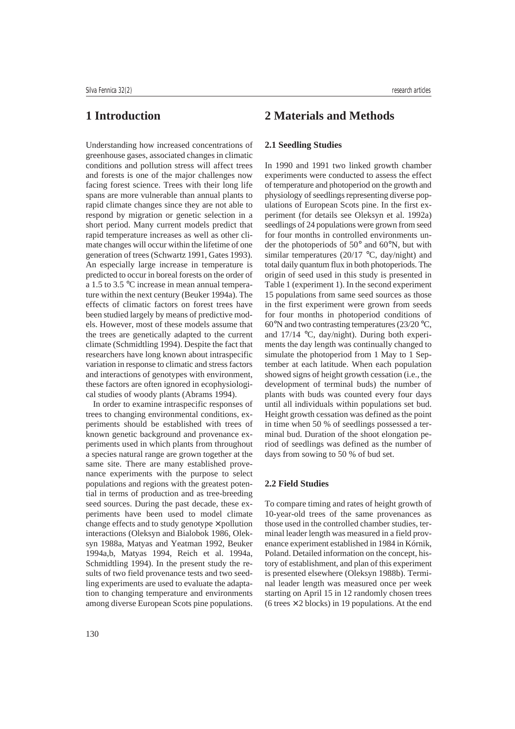## **1 Introduction**

Understanding how increased concentrations of greenhouse gases, associated changes in climatic conditions and pollution stress will affect trees and forests is one of the major challenges now facing forest science. Trees with their long life spans are more vulnerable than annual plants to rapid climate changes since they are not able to respond by migration or genetic selection in a short period. Many current models predict that rapid temperature increases as well as other climate changes will occur within the lifetime of one generation of trees (Schwartz 1991, Gates 1993). An especially large increase in temperature is predicted to occur in boreal forests on the order of a 1.5 to 3.5 °C increase in mean annual temperature within the next century (Beuker 1994a). The effects of climatic factors on forest trees have been studied largely by means of predictive models. However, most of these models assume that the trees are genetically adapted to the current climate (Schmidtling 1994). Despite the fact that researchers have long known about intraspecific variation in response to climatic and stress factors and interactions of genotypes with environment, these factors are often ignored in ecophysiological studies of woody plants (Abrams 1994).

In order to examine intraspecific responses of trees to changing environmental conditions, experiments should be established with trees of known genetic background and provenance experiments used in which plants from throughout a species natural range are grown together at the same site. There are many established provenance experiments with the purpose to select populations and regions with the greatest potential in terms of production and as tree-breeding seed sources. During the past decade, these experiments have been used to model climate change effects and to study genotype  $\times$  pollution interactions (Oleksyn and Bialobok 1986, Oleksyn 1988a, Matyas and Yeatman 1992, Beuker 1994a,b, Matyas 1994, Reich et al. 1994a, Schmidtling 1994). In the present study the results of two field provenance tests and two seedling experiments are used to evaluate the adaptation to changing temperature and environments among diverse European Scots pine populations.

### **2 Materials and Methods**

#### **2.1 Seedling Studies**

In 1990 and 1991 two linked growth chamber experiments were conducted to assess the effect of temperature and photoperiod on the growth and physiology of seedlings representing diverse populations of European Scots pine. In the first experiment (for details see Oleksyn et al. 1992a) seedlings of 24 populations were grown from seed for four months in controlled environments under the photoperiods of 50° and 60°N, but with similar temperatures  $(20/17 \text{ °C}, \text{day/night})$  and total daily quantum flux in both photoperiods. The origin of seed used in this study is presented in Table 1 (experiment 1). In the second experiment 15 populations from same seed sources as those in the first experiment were grown from seeds for four months in photoperiod conditions of  $60^{\circ}$ N and two contrasting temperatures (23/20  $^{\circ}$ C, and 17/14 °C, day/night). During both experiments the day length was continually changed to simulate the photoperiod from 1 May to 1 September at each latitude. When each population showed signs of height growth cessation (i.e., the development of terminal buds) the number of plants with buds was counted every four days until all individuals within populations set bud. Height growth cessation was defined as the point in time when 50 % of seedlings possessed a terminal bud. Duration of the shoot elongation period of seedlings was defined as the number of days from sowing to 50 % of bud set.

#### **2.2 Field Studies**

To compare timing and rates of height growth of 10-year-old trees of the same provenances as those used in the controlled chamber studies, terminal leader length was measured in a field provenance experiment established in 1984 in Kórnik, Poland. Detailed information on the concept, history of establishment, and plan of this experiment is presented elsewhere (Oleksyn 1988b). Terminal leader length was measured once per week starting on April 15 in 12 randomly chosen trees (6 trees  $\times$  2 blocks) in 19 populations. At the end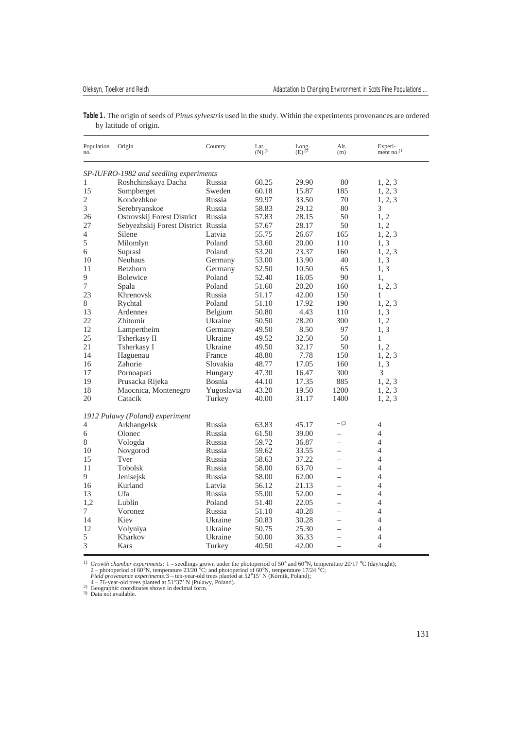| Table 1. The origin of seeds of Pinus sylvestris used in the study. Within the experiments provenances are ordered |  |  |
|--------------------------------------------------------------------------------------------------------------------|--|--|
| by latitude of origin.                                                                                             |  |  |

| SP-IUFRO-1982 and seedling experiments<br>Roshchinskaya Dacha<br>Russia<br>60.25<br>29.90<br>80<br>1, 2, 3<br>1<br>15<br>15.87<br>185<br>1, 2, 3<br>Sumpberget<br>Sweden<br>60.18<br>2<br>Kondezhkoe<br>Russia<br>59.97<br>33.50<br>70<br>1, 2, 3<br>3<br>80<br>3<br>Russia<br>58.83<br>29.12<br>Serebryanskoe<br>Russia<br>Ostrovskij Forest District<br>57.83<br>28.15<br>50<br>1, 2<br>26<br>27<br>Sebyezhskij Forest District Russia<br>50<br>1, 2<br>57.67<br>28.17<br>55.75<br>1, 2, 3<br>4<br>Silene<br>Latvia<br>26.67<br>165<br>5<br>1,3<br>Milomlyn<br>Poland<br>53.60<br>20.00<br>110<br>1, 2, 3<br>6<br>Suprasl<br>53.20<br>23.37<br>160<br>Poland<br><b>Neuhaus</b><br>53.00<br>13.90<br>1, 3<br>10<br>Germany<br>40<br>52.50<br>10.50<br>1, 3<br>11<br>Betzhorn<br>Germany<br>65<br>9<br>90<br><b>Bolewice</b><br>Poland<br>52.40<br>16.05<br>1,<br>$\tau$<br>20.20<br>Spala<br>Poland<br>51.60<br>160<br>1, 2, 3<br>23<br>Khrenovsk<br>Russia<br>51.17<br>42.00<br>150<br>1<br>Rychtal<br>Poland<br>51.10<br>17.92<br>190<br>1, 2, 3<br>8<br>13<br>Belgium<br>50.80<br>4.43<br>1, 3<br>Ardennes<br>110<br>22<br>Zhitomir<br>Ukraine<br>28.20<br>300<br>1, 2<br>50.50<br>12<br>97<br>Lampertheim<br>49.50<br>8.50<br>1, 3<br>Germany<br>25<br>Tsherkasy II<br>Ukraine<br>49.52<br>32.50<br>50<br>1<br>1, 2<br>21<br>Tsherkasy I<br>49.50<br>32.17<br>50<br>Ukraine<br>14<br>7.78<br>150<br>Haguenau<br>France<br>48.80<br>1, 2, 3<br>Zahorie<br>Slovakia<br>17.05<br>160<br>1, 3<br>16<br>48.77<br>3<br>17<br>47.30<br>Pornoapati<br>Hungary<br>16.47<br>300<br>19<br>Prusacka Rijeka<br><b>Bosnia</b><br>44.10<br>17.35<br>885<br>1, 2, 3<br>18<br>Maocnica, Montenegro<br>Yugoslavia<br>43.20<br>19.50<br>1200<br>1, 2, 3<br>20<br>40.00<br>31.17<br>1400<br>1, 2, 3<br>Catacik<br>Turkey<br>1912 Pulawy (Poland) experiment<br>$- (3)$<br>Arkhangelsk<br>Russia<br>63.83<br>45.17<br>$\overline{4}$<br>4<br>Russia<br>61.50<br>39.00<br>$\overline{4}$<br>6<br>Olonec<br>8<br>Russia<br>59.72<br>36.87<br>4<br>Vologda<br>$\overline{4}$<br>Russia<br>59.62<br>33.55<br>10<br>Novgorod<br>$=$<br>$\overline{4}$<br>15<br>Tver<br>Russia<br>58.63<br>37.22<br>$\equiv$<br>63.70<br>$\overline{4}$<br>11<br><b>Tobolsk</b><br>Russia<br>58.00<br>$\equiv$<br>9<br>$\overline{4}$<br>Jenisejsk<br>Russia<br>58.00<br>62.00<br>$\overline{\phantom{0}}$<br>56.12<br>4<br>16<br>Kurland<br>Latvia<br>21.13<br>$\overline{\phantom{0}}$<br>$\overline{4}$<br>13<br>Ufa<br>Russia<br>55.00<br>52.00<br>$\equiv$<br>$\overline{4}$<br>1.2<br>Lublin<br>Poland<br>51.40<br>22.05<br>$\overline{\phantom{0}}$<br>$\overline{4}$<br>7<br>Voronez<br>40.28<br>Russia<br>51.10<br>$=$<br>$\overline{4}$<br>14<br>Kiev<br>50.83<br>30.28<br>Ukraine<br>$\overline{4}$<br>12<br>Ukraine<br>50.75<br>25.30<br>Volyniya<br>$\overline{\phantom{0}}$<br>5<br>Kharkov<br>4<br>Ukraine<br>50.00<br>36.33<br>$\equiv$<br>3<br>$\overline{4}$<br>Kars<br>40.50<br>42.00<br>Turkey<br>$\qquad \qquad -$ | Population<br>no. | Origin | Country | Lat.<br>$(N)$ <sup>(2)</sup> | Long.<br>$(E)$ <sup>(2)</sup> | Alt.<br>(m) | Experi-<br>ment no. <sup>(1</sup> |  |  |  |  |
|---------------------------------------------------------------------------------------------------------------------------------------------------------------------------------------------------------------------------------------------------------------------------------------------------------------------------------------------------------------------------------------------------------------------------------------------------------------------------------------------------------------------------------------------------------------------------------------------------------------------------------------------------------------------------------------------------------------------------------------------------------------------------------------------------------------------------------------------------------------------------------------------------------------------------------------------------------------------------------------------------------------------------------------------------------------------------------------------------------------------------------------------------------------------------------------------------------------------------------------------------------------------------------------------------------------------------------------------------------------------------------------------------------------------------------------------------------------------------------------------------------------------------------------------------------------------------------------------------------------------------------------------------------------------------------------------------------------------------------------------------------------------------------------------------------------------------------------------------------------------------------------------------------------------------------------------------------------------------------------------------------------------------------------------------------------------------------------------------------------------------------------------------------------------------------------------------------------------------------------------------------------------------------------------------------------------------------------------------------------------------------------------------------------------------------------------------------------------------------------------------------------------------------------------------------------------------------------------------------------------------------------------------------------------------------------------------------------------------------------------------------------------------------------------------------------------------------------------------------------------------------------------------------------------------------------------------------------------------------------------------|-------------------|--------|---------|------------------------------|-------------------------------|-------------|-----------------------------------|--|--|--|--|
|                                                                                                                                                                                                                                                                                                                                                                                                                                                                                                                                                                                                                                                                                                                                                                                                                                                                                                                                                                                                                                                                                                                                                                                                                                                                                                                                                                                                                                                                                                                                                                                                                                                                                                                                                                                                                                                                                                                                                                                                                                                                                                                                                                                                                                                                                                                                                                                                                                                                                                                                                                                                                                                                                                                                                                                                                                                                                                                                                                                                   |                   |        |         |                              |                               |             |                                   |  |  |  |  |
|                                                                                                                                                                                                                                                                                                                                                                                                                                                                                                                                                                                                                                                                                                                                                                                                                                                                                                                                                                                                                                                                                                                                                                                                                                                                                                                                                                                                                                                                                                                                                                                                                                                                                                                                                                                                                                                                                                                                                                                                                                                                                                                                                                                                                                                                                                                                                                                                                                                                                                                                                                                                                                                                                                                                                                                                                                                                                                                                                                                                   |                   |        |         |                              |                               |             |                                   |  |  |  |  |
|                                                                                                                                                                                                                                                                                                                                                                                                                                                                                                                                                                                                                                                                                                                                                                                                                                                                                                                                                                                                                                                                                                                                                                                                                                                                                                                                                                                                                                                                                                                                                                                                                                                                                                                                                                                                                                                                                                                                                                                                                                                                                                                                                                                                                                                                                                                                                                                                                                                                                                                                                                                                                                                                                                                                                                                                                                                                                                                                                                                                   |                   |        |         |                              |                               |             |                                   |  |  |  |  |
|                                                                                                                                                                                                                                                                                                                                                                                                                                                                                                                                                                                                                                                                                                                                                                                                                                                                                                                                                                                                                                                                                                                                                                                                                                                                                                                                                                                                                                                                                                                                                                                                                                                                                                                                                                                                                                                                                                                                                                                                                                                                                                                                                                                                                                                                                                                                                                                                                                                                                                                                                                                                                                                                                                                                                                                                                                                                                                                                                                                                   |                   |        |         |                              |                               |             |                                   |  |  |  |  |
|                                                                                                                                                                                                                                                                                                                                                                                                                                                                                                                                                                                                                                                                                                                                                                                                                                                                                                                                                                                                                                                                                                                                                                                                                                                                                                                                                                                                                                                                                                                                                                                                                                                                                                                                                                                                                                                                                                                                                                                                                                                                                                                                                                                                                                                                                                                                                                                                                                                                                                                                                                                                                                                                                                                                                                                                                                                                                                                                                                                                   |                   |        |         |                              |                               |             |                                   |  |  |  |  |
|                                                                                                                                                                                                                                                                                                                                                                                                                                                                                                                                                                                                                                                                                                                                                                                                                                                                                                                                                                                                                                                                                                                                                                                                                                                                                                                                                                                                                                                                                                                                                                                                                                                                                                                                                                                                                                                                                                                                                                                                                                                                                                                                                                                                                                                                                                                                                                                                                                                                                                                                                                                                                                                                                                                                                                                                                                                                                                                                                                                                   |                   |        |         |                              |                               |             |                                   |  |  |  |  |
|                                                                                                                                                                                                                                                                                                                                                                                                                                                                                                                                                                                                                                                                                                                                                                                                                                                                                                                                                                                                                                                                                                                                                                                                                                                                                                                                                                                                                                                                                                                                                                                                                                                                                                                                                                                                                                                                                                                                                                                                                                                                                                                                                                                                                                                                                                                                                                                                                                                                                                                                                                                                                                                                                                                                                                                                                                                                                                                                                                                                   |                   |        |         |                              |                               |             |                                   |  |  |  |  |
|                                                                                                                                                                                                                                                                                                                                                                                                                                                                                                                                                                                                                                                                                                                                                                                                                                                                                                                                                                                                                                                                                                                                                                                                                                                                                                                                                                                                                                                                                                                                                                                                                                                                                                                                                                                                                                                                                                                                                                                                                                                                                                                                                                                                                                                                                                                                                                                                                                                                                                                                                                                                                                                                                                                                                                                                                                                                                                                                                                                                   |                   |        |         |                              |                               |             |                                   |  |  |  |  |
|                                                                                                                                                                                                                                                                                                                                                                                                                                                                                                                                                                                                                                                                                                                                                                                                                                                                                                                                                                                                                                                                                                                                                                                                                                                                                                                                                                                                                                                                                                                                                                                                                                                                                                                                                                                                                                                                                                                                                                                                                                                                                                                                                                                                                                                                                                                                                                                                                                                                                                                                                                                                                                                                                                                                                                                                                                                                                                                                                                                                   |                   |        |         |                              |                               |             |                                   |  |  |  |  |
|                                                                                                                                                                                                                                                                                                                                                                                                                                                                                                                                                                                                                                                                                                                                                                                                                                                                                                                                                                                                                                                                                                                                                                                                                                                                                                                                                                                                                                                                                                                                                                                                                                                                                                                                                                                                                                                                                                                                                                                                                                                                                                                                                                                                                                                                                                                                                                                                                                                                                                                                                                                                                                                                                                                                                                                                                                                                                                                                                                                                   |                   |        |         |                              |                               |             |                                   |  |  |  |  |
|                                                                                                                                                                                                                                                                                                                                                                                                                                                                                                                                                                                                                                                                                                                                                                                                                                                                                                                                                                                                                                                                                                                                                                                                                                                                                                                                                                                                                                                                                                                                                                                                                                                                                                                                                                                                                                                                                                                                                                                                                                                                                                                                                                                                                                                                                                                                                                                                                                                                                                                                                                                                                                                                                                                                                                                                                                                                                                                                                                                                   |                   |        |         |                              |                               |             |                                   |  |  |  |  |
|                                                                                                                                                                                                                                                                                                                                                                                                                                                                                                                                                                                                                                                                                                                                                                                                                                                                                                                                                                                                                                                                                                                                                                                                                                                                                                                                                                                                                                                                                                                                                                                                                                                                                                                                                                                                                                                                                                                                                                                                                                                                                                                                                                                                                                                                                                                                                                                                                                                                                                                                                                                                                                                                                                                                                                                                                                                                                                                                                                                                   |                   |        |         |                              |                               |             |                                   |  |  |  |  |
|                                                                                                                                                                                                                                                                                                                                                                                                                                                                                                                                                                                                                                                                                                                                                                                                                                                                                                                                                                                                                                                                                                                                                                                                                                                                                                                                                                                                                                                                                                                                                                                                                                                                                                                                                                                                                                                                                                                                                                                                                                                                                                                                                                                                                                                                                                                                                                                                                                                                                                                                                                                                                                                                                                                                                                                                                                                                                                                                                                                                   |                   |        |         |                              |                               |             |                                   |  |  |  |  |
|                                                                                                                                                                                                                                                                                                                                                                                                                                                                                                                                                                                                                                                                                                                                                                                                                                                                                                                                                                                                                                                                                                                                                                                                                                                                                                                                                                                                                                                                                                                                                                                                                                                                                                                                                                                                                                                                                                                                                                                                                                                                                                                                                                                                                                                                                                                                                                                                                                                                                                                                                                                                                                                                                                                                                                                                                                                                                                                                                                                                   |                   |        |         |                              |                               |             |                                   |  |  |  |  |
|                                                                                                                                                                                                                                                                                                                                                                                                                                                                                                                                                                                                                                                                                                                                                                                                                                                                                                                                                                                                                                                                                                                                                                                                                                                                                                                                                                                                                                                                                                                                                                                                                                                                                                                                                                                                                                                                                                                                                                                                                                                                                                                                                                                                                                                                                                                                                                                                                                                                                                                                                                                                                                                                                                                                                                                                                                                                                                                                                                                                   |                   |        |         |                              |                               |             |                                   |  |  |  |  |
|                                                                                                                                                                                                                                                                                                                                                                                                                                                                                                                                                                                                                                                                                                                                                                                                                                                                                                                                                                                                                                                                                                                                                                                                                                                                                                                                                                                                                                                                                                                                                                                                                                                                                                                                                                                                                                                                                                                                                                                                                                                                                                                                                                                                                                                                                                                                                                                                                                                                                                                                                                                                                                                                                                                                                                                                                                                                                                                                                                                                   |                   |        |         |                              |                               |             |                                   |  |  |  |  |
|                                                                                                                                                                                                                                                                                                                                                                                                                                                                                                                                                                                                                                                                                                                                                                                                                                                                                                                                                                                                                                                                                                                                                                                                                                                                                                                                                                                                                                                                                                                                                                                                                                                                                                                                                                                                                                                                                                                                                                                                                                                                                                                                                                                                                                                                                                                                                                                                                                                                                                                                                                                                                                                                                                                                                                                                                                                                                                                                                                                                   |                   |        |         |                              |                               |             |                                   |  |  |  |  |
|                                                                                                                                                                                                                                                                                                                                                                                                                                                                                                                                                                                                                                                                                                                                                                                                                                                                                                                                                                                                                                                                                                                                                                                                                                                                                                                                                                                                                                                                                                                                                                                                                                                                                                                                                                                                                                                                                                                                                                                                                                                                                                                                                                                                                                                                                                                                                                                                                                                                                                                                                                                                                                                                                                                                                                                                                                                                                                                                                                                                   |                   |        |         |                              |                               |             |                                   |  |  |  |  |
|                                                                                                                                                                                                                                                                                                                                                                                                                                                                                                                                                                                                                                                                                                                                                                                                                                                                                                                                                                                                                                                                                                                                                                                                                                                                                                                                                                                                                                                                                                                                                                                                                                                                                                                                                                                                                                                                                                                                                                                                                                                                                                                                                                                                                                                                                                                                                                                                                                                                                                                                                                                                                                                                                                                                                                                                                                                                                                                                                                                                   |                   |        |         |                              |                               |             |                                   |  |  |  |  |
|                                                                                                                                                                                                                                                                                                                                                                                                                                                                                                                                                                                                                                                                                                                                                                                                                                                                                                                                                                                                                                                                                                                                                                                                                                                                                                                                                                                                                                                                                                                                                                                                                                                                                                                                                                                                                                                                                                                                                                                                                                                                                                                                                                                                                                                                                                                                                                                                                                                                                                                                                                                                                                                                                                                                                                                                                                                                                                                                                                                                   |                   |        |         |                              |                               |             |                                   |  |  |  |  |
|                                                                                                                                                                                                                                                                                                                                                                                                                                                                                                                                                                                                                                                                                                                                                                                                                                                                                                                                                                                                                                                                                                                                                                                                                                                                                                                                                                                                                                                                                                                                                                                                                                                                                                                                                                                                                                                                                                                                                                                                                                                                                                                                                                                                                                                                                                                                                                                                                                                                                                                                                                                                                                                                                                                                                                                                                                                                                                                                                                                                   |                   |        |         |                              |                               |             |                                   |  |  |  |  |
|                                                                                                                                                                                                                                                                                                                                                                                                                                                                                                                                                                                                                                                                                                                                                                                                                                                                                                                                                                                                                                                                                                                                                                                                                                                                                                                                                                                                                                                                                                                                                                                                                                                                                                                                                                                                                                                                                                                                                                                                                                                                                                                                                                                                                                                                                                                                                                                                                                                                                                                                                                                                                                                                                                                                                                                                                                                                                                                                                                                                   |                   |        |         |                              |                               |             |                                   |  |  |  |  |
|                                                                                                                                                                                                                                                                                                                                                                                                                                                                                                                                                                                                                                                                                                                                                                                                                                                                                                                                                                                                                                                                                                                                                                                                                                                                                                                                                                                                                                                                                                                                                                                                                                                                                                                                                                                                                                                                                                                                                                                                                                                                                                                                                                                                                                                                                                                                                                                                                                                                                                                                                                                                                                                                                                                                                                                                                                                                                                                                                                                                   |                   |        |         |                              |                               |             |                                   |  |  |  |  |
|                                                                                                                                                                                                                                                                                                                                                                                                                                                                                                                                                                                                                                                                                                                                                                                                                                                                                                                                                                                                                                                                                                                                                                                                                                                                                                                                                                                                                                                                                                                                                                                                                                                                                                                                                                                                                                                                                                                                                                                                                                                                                                                                                                                                                                                                                                                                                                                                                                                                                                                                                                                                                                                                                                                                                                                                                                                                                                                                                                                                   |                   |        |         |                              |                               |             |                                   |  |  |  |  |
|                                                                                                                                                                                                                                                                                                                                                                                                                                                                                                                                                                                                                                                                                                                                                                                                                                                                                                                                                                                                                                                                                                                                                                                                                                                                                                                                                                                                                                                                                                                                                                                                                                                                                                                                                                                                                                                                                                                                                                                                                                                                                                                                                                                                                                                                                                                                                                                                                                                                                                                                                                                                                                                                                                                                                                                                                                                                                                                                                                                                   |                   |        |         |                              |                               |             |                                   |  |  |  |  |
|                                                                                                                                                                                                                                                                                                                                                                                                                                                                                                                                                                                                                                                                                                                                                                                                                                                                                                                                                                                                                                                                                                                                                                                                                                                                                                                                                                                                                                                                                                                                                                                                                                                                                                                                                                                                                                                                                                                                                                                                                                                                                                                                                                                                                                                                                                                                                                                                                                                                                                                                                                                                                                                                                                                                                                                                                                                                                                                                                                                                   |                   |        |         |                              |                               |             |                                   |  |  |  |  |
|                                                                                                                                                                                                                                                                                                                                                                                                                                                                                                                                                                                                                                                                                                                                                                                                                                                                                                                                                                                                                                                                                                                                                                                                                                                                                                                                                                                                                                                                                                                                                                                                                                                                                                                                                                                                                                                                                                                                                                                                                                                                                                                                                                                                                                                                                                                                                                                                                                                                                                                                                                                                                                                                                                                                                                                                                                                                                                                                                                                                   |                   |        |         |                              |                               |             |                                   |  |  |  |  |
|                                                                                                                                                                                                                                                                                                                                                                                                                                                                                                                                                                                                                                                                                                                                                                                                                                                                                                                                                                                                                                                                                                                                                                                                                                                                                                                                                                                                                                                                                                                                                                                                                                                                                                                                                                                                                                                                                                                                                                                                                                                                                                                                                                                                                                                                                                                                                                                                                                                                                                                                                                                                                                                                                                                                                                                                                                                                                                                                                                                                   |                   |        |         |                              |                               |             |                                   |  |  |  |  |
|                                                                                                                                                                                                                                                                                                                                                                                                                                                                                                                                                                                                                                                                                                                                                                                                                                                                                                                                                                                                                                                                                                                                                                                                                                                                                                                                                                                                                                                                                                                                                                                                                                                                                                                                                                                                                                                                                                                                                                                                                                                                                                                                                                                                                                                                                                                                                                                                                                                                                                                                                                                                                                                                                                                                                                                                                                                                                                                                                                                                   |                   |        |         |                              |                               |             |                                   |  |  |  |  |
|                                                                                                                                                                                                                                                                                                                                                                                                                                                                                                                                                                                                                                                                                                                                                                                                                                                                                                                                                                                                                                                                                                                                                                                                                                                                                                                                                                                                                                                                                                                                                                                                                                                                                                                                                                                                                                                                                                                                                                                                                                                                                                                                                                                                                                                                                                                                                                                                                                                                                                                                                                                                                                                                                                                                                                                                                                                                                                                                                                                                   |                   |        |         |                              |                               |             |                                   |  |  |  |  |
|                                                                                                                                                                                                                                                                                                                                                                                                                                                                                                                                                                                                                                                                                                                                                                                                                                                                                                                                                                                                                                                                                                                                                                                                                                                                                                                                                                                                                                                                                                                                                                                                                                                                                                                                                                                                                                                                                                                                                                                                                                                                                                                                                                                                                                                                                                                                                                                                                                                                                                                                                                                                                                                                                                                                                                                                                                                                                                                                                                                                   |                   |        |         |                              |                               |             |                                   |  |  |  |  |
|                                                                                                                                                                                                                                                                                                                                                                                                                                                                                                                                                                                                                                                                                                                                                                                                                                                                                                                                                                                                                                                                                                                                                                                                                                                                                                                                                                                                                                                                                                                                                                                                                                                                                                                                                                                                                                                                                                                                                                                                                                                                                                                                                                                                                                                                                                                                                                                                                                                                                                                                                                                                                                                                                                                                                                                                                                                                                                                                                                                                   |                   |        |         |                              |                               |             |                                   |  |  |  |  |
|                                                                                                                                                                                                                                                                                                                                                                                                                                                                                                                                                                                                                                                                                                                                                                                                                                                                                                                                                                                                                                                                                                                                                                                                                                                                                                                                                                                                                                                                                                                                                                                                                                                                                                                                                                                                                                                                                                                                                                                                                                                                                                                                                                                                                                                                                                                                                                                                                                                                                                                                                                                                                                                                                                                                                                                                                                                                                                                                                                                                   |                   |        |         |                              |                               |             |                                   |  |  |  |  |
|                                                                                                                                                                                                                                                                                                                                                                                                                                                                                                                                                                                                                                                                                                                                                                                                                                                                                                                                                                                                                                                                                                                                                                                                                                                                                                                                                                                                                                                                                                                                                                                                                                                                                                                                                                                                                                                                                                                                                                                                                                                                                                                                                                                                                                                                                                                                                                                                                                                                                                                                                                                                                                                                                                                                                                                                                                                                                                                                                                                                   |                   |        |         |                              |                               |             |                                   |  |  |  |  |
|                                                                                                                                                                                                                                                                                                                                                                                                                                                                                                                                                                                                                                                                                                                                                                                                                                                                                                                                                                                                                                                                                                                                                                                                                                                                                                                                                                                                                                                                                                                                                                                                                                                                                                                                                                                                                                                                                                                                                                                                                                                                                                                                                                                                                                                                                                                                                                                                                                                                                                                                                                                                                                                                                                                                                                                                                                                                                                                                                                                                   |                   |        |         |                              |                               |             |                                   |  |  |  |  |
|                                                                                                                                                                                                                                                                                                                                                                                                                                                                                                                                                                                                                                                                                                                                                                                                                                                                                                                                                                                                                                                                                                                                                                                                                                                                                                                                                                                                                                                                                                                                                                                                                                                                                                                                                                                                                                                                                                                                                                                                                                                                                                                                                                                                                                                                                                                                                                                                                                                                                                                                                                                                                                                                                                                                                                                                                                                                                                                                                                                                   |                   |        |         |                              |                               |             |                                   |  |  |  |  |
|                                                                                                                                                                                                                                                                                                                                                                                                                                                                                                                                                                                                                                                                                                                                                                                                                                                                                                                                                                                                                                                                                                                                                                                                                                                                                                                                                                                                                                                                                                                                                                                                                                                                                                                                                                                                                                                                                                                                                                                                                                                                                                                                                                                                                                                                                                                                                                                                                                                                                                                                                                                                                                                                                                                                                                                                                                                                                                                                                                                                   |                   |        |         |                              |                               |             |                                   |  |  |  |  |
|                                                                                                                                                                                                                                                                                                                                                                                                                                                                                                                                                                                                                                                                                                                                                                                                                                                                                                                                                                                                                                                                                                                                                                                                                                                                                                                                                                                                                                                                                                                                                                                                                                                                                                                                                                                                                                                                                                                                                                                                                                                                                                                                                                                                                                                                                                                                                                                                                                                                                                                                                                                                                                                                                                                                                                                                                                                                                                                                                                                                   |                   |        |         |                              |                               |             |                                   |  |  |  |  |
|                                                                                                                                                                                                                                                                                                                                                                                                                                                                                                                                                                                                                                                                                                                                                                                                                                                                                                                                                                                                                                                                                                                                                                                                                                                                                                                                                                                                                                                                                                                                                                                                                                                                                                                                                                                                                                                                                                                                                                                                                                                                                                                                                                                                                                                                                                                                                                                                                                                                                                                                                                                                                                                                                                                                                                                                                                                                                                                                                                                                   |                   |        |         |                              |                               |             |                                   |  |  |  |  |
|                                                                                                                                                                                                                                                                                                                                                                                                                                                                                                                                                                                                                                                                                                                                                                                                                                                                                                                                                                                                                                                                                                                                                                                                                                                                                                                                                                                                                                                                                                                                                                                                                                                                                                                                                                                                                                                                                                                                                                                                                                                                                                                                                                                                                                                                                                                                                                                                                                                                                                                                                                                                                                                                                                                                                                                                                                                                                                                                                                                                   |                   |        |         |                              |                               |             |                                   |  |  |  |  |
|                                                                                                                                                                                                                                                                                                                                                                                                                                                                                                                                                                                                                                                                                                                                                                                                                                                                                                                                                                                                                                                                                                                                                                                                                                                                                                                                                                                                                                                                                                                                                                                                                                                                                                                                                                                                                                                                                                                                                                                                                                                                                                                                                                                                                                                                                                                                                                                                                                                                                                                                                                                                                                                                                                                                                                                                                                                                                                                                                                                                   |                   |        |         |                              |                               |             |                                   |  |  |  |  |
|                                                                                                                                                                                                                                                                                                                                                                                                                                                                                                                                                                                                                                                                                                                                                                                                                                                                                                                                                                                                                                                                                                                                                                                                                                                                                                                                                                                                                                                                                                                                                                                                                                                                                                                                                                                                                                                                                                                                                                                                                                                                                                                                                                                                                                                                                                                                                                                                                                                                                                                                                                                                                                                                                                                                                                                                                                                                                                                                                                                                   |                   |        |         |                              |                               |             |                                   |  |  |  |  |
|                                                                                                                                                                                                                                                                                                                                                                                                                                                                                                                                                                                                                                                                                                                                                                                                                                                                                                                                                                                                                                                                                                                                                                                                                                                                                                                                                                                                                                                                                                                                                                                                                                                                                                                                                                                                                                                                                                                                                                                                                                                                                                                                                                                                                                                                                                                                                                                                                                                                                                                                                                                                                                                                                                                                                                                                                                                                                                                                                                                                   |                   |        |         |                              |                               |             |                                   |  |  |  |  |

<sup>1)</sup> Growth chamber experiments: 1 – seedlings grown under the photoperiod of 50° and 60°N, temperature 20/17 °C (day/night);<br>
<sup>2</sup> – photoperiod of 60°N, temperature 23/20 °C; and photoperiod of 60°N, temperature 17/24 °C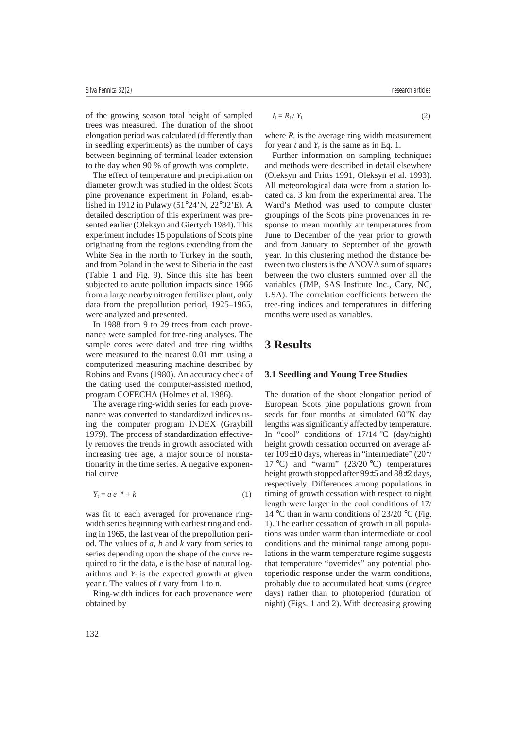of the growing season total height of sampled trees was measured. The duration of the shoot elongation period was calculated (differently than in seedling experiments) as the number of days between beginning of terminal leader extension to the day when 90 % of growth was complete.

The effect of temperature and precipitation on diameter growth was studied in the oldest Scots pine provenance experiment in Poland, established in 1912 in Pulawy (51°24'N, 22°02'E). A detailed description of this experiment was presented earlier (Oleksyn and Giertych 1984). This experiment includes 15 populations of Scots pine originating from the regions extending from the White Sea in the north to Turkey in the south, and from Poland in the west to Siberia in the east (Table 1 and Fig. 9). Since this site has been subjected to acute pollution impacts since 1966 from a large nearby nitrogen fertilizer plant, only data from the prepollution period, 1925–1965, were analyzed and presented.

In 1988 from 9 to 29 trees from each provenance were sampled for tree-ring analyses. The sample cores were dated and tree ring widths were measured to the nearest 0.01 mm using a computerized measuring machine described by Robins and Evans (1980). An accuracy check of the dating used the computer-assisted method, program COFECHA (Holmes et al. 1986).

The average ring-width series for each provenance was converted to standardized indices using the computer program INDEX (Graybill 1979). The process of standardization effectively removes the trends in growth associated with increasing tree age, a major source of nonstationarity in the time series. A negative exponential curve

$$
Y_t = a e^{-bt} + k \tag{1}
$$

was fit to each averaged for provenance ringwidth series beginning with earliest ring and ending in 1965, the last year of the prepollution period. The values of *a*, *b* and *k* vary from series to series depending upon the shape of the curve required to fit the data, *e* is the base of natural logarithms and  $Y_t$  is the expected growth at given year *t*. The values of *t* vary from 1 to n.

Ring-width indices for each provenance were obtained by

$$
I_{t} = R_{t} / Y_{t} \tag{2}
$$

where  $R_t$  is the average ring width measurement for year  $t$  and  $Y_t$  is the same as in Eq. 1.

Further information on sampling techniques and methods were described in detail elsewhere (Oleksyn and Fritts 1991, Oleksyn et al. 1993). All meteorological data were from a station located ca. 3 km from the experimental area. The Ward's Method was used to compute cluster groupings of the Scots pine provenances in response to mean monthly air temperatures from June to December of the year prior to growth and from January to September of the growth year. In this clustering method the distance between two clusters is the ANOVA sum of squares between the two clusters summed over all the variables (JMP, SAS Institute Inc., Cary, NC, USA). The correlation coefficients between the tree-ring indices and temperatures in differing months were used as variables.

### **3 Results**

#### **3.1 Seedling and Young Tree Studies**

The duration of the shoot elongation period of European Scots pine populations grown from seeds for four months at simulated 60°N day lengths was significantly affected by temperature. In "cool" conditions of  $17/14$  °C (day/night) height growth cessation occurred on average after 109±10 days, whereas in "intermediate" (20°/ 17 °C) and "warm"  $(23/20 \degree C)$  temperatures height growth stopped after 99±5 and 88±2 days, respectively. Differences among populations in timing of growth cessation with respect to night length were larger in the cool conditions of 17/ 14 °C than in warm conditions of 23/20 °C (Fig. 1). The earlier cessation of growth in all populations was under warm than intermediate or cool conditions and the minimal range among populations in the warm temperature regime suggests that temperature "overrides" any potential photoperiodic response under the warm conditions, probably due to accumulated heat sums (degree days) rather than to photoperiod (duration of night) (Figs. 1 and 2). With decreasing growing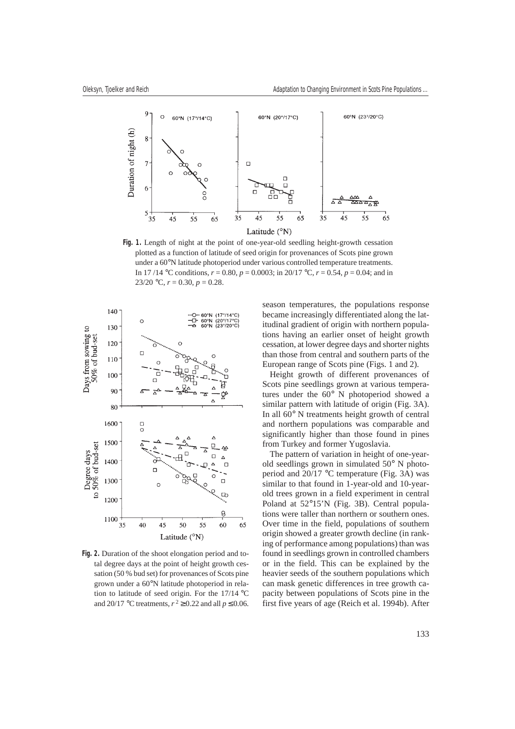

**Fig. 1.** Length of night at the point of one-year-old seedling height-growth cessation plotted as a function of latitude of seed origin for provenances of Scots pine grown under a 60°N latitude photoperiod under various controlled temperature treatments. In 17/14 °C conditions,  $r = 0.80$ ,  $p = 0.0003$ ; in 20/17 °C,  $r = 0.54$ ,  $p = 0.04$ ; and in 23/20 °C,  $r = 0.30$ ,  $p = 0.28$ .



**Fig. 2.** Duration of the shoot elongation period and total degree days at the point of height growth cessation (50 % bud set) for provenances of Scots pine grown under a 60°N latitude photoperiod in relation to latitude of seed origin. For the 17/14 °C and 20/17 °C treatments,  $r^2 \ge 0.22$  and all  $p \le 0.06$ .

season temperatures, the populations response became increasingly differentiated along the latitudinal gradient of origin with northern populations having an earlier onset of height growth cessation, at lower degree days and shorter nights than those from central and southern parts of the European range of Scots pine (Figs. 1 and 2).

Height growth of different provenances of Scots pine seedlings grown at various temperatures under the 60° N photoperiod showed a similar pattern with latitude of origin (Fig. 3A). In all 60° N treatments height growth of central and northern populations was comparable and significantly higher than those found in pines from Turkey and former Yugoslavia.

The pattern of variation in height of one-yearold seedlings grown in simulated 50° N photoperiod and 20/17 °C temperature (Fig. 3A) was similar to that found in 1-year-old and 10-yearold trees grown in a field experiment in central Poland at 52°15'N (Fig. 3B). Central populations were taller than northern or southern ones. Over time in the field, populations of southern origin showed a greater growth decline (in ranking of performance among populations) than was found in seedlings grown in controlled chambers or in the field. This can be explained by the heavier seeds of the southern populations which can mask genetic differences in tree growth capacity between populations of Scots pine in the first five years of age (Reich et al. 1994b). After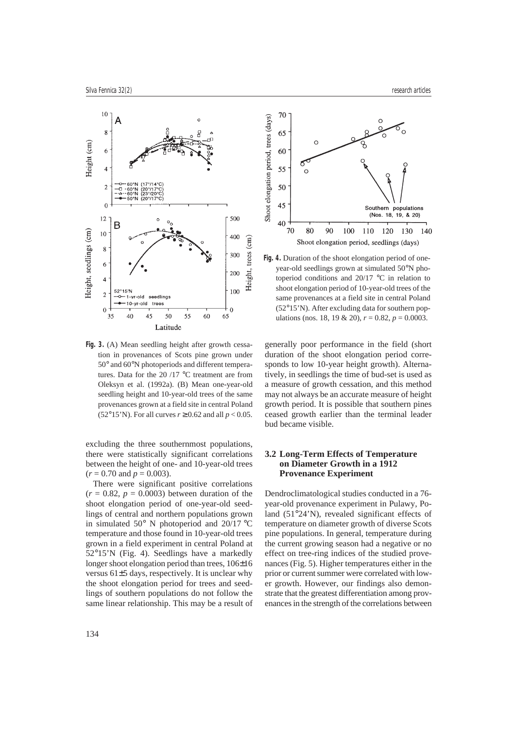

**Fig. 3.** (A) Mean seedling height after growth cessation in provenances of Scots pine grown under 50° and 60°N photoperiods and different temperatures. Data for the 20 /17 °C treatment are from Oleksyn et al. (1992a). (B) Mean one-year-old seedling height and 10-year-old trees of the same provenances grown at a field site in central Poland (52°15'N). For all curves  $r \ge 0.62$  and all  $p < 0.05$ .

excluding the three southernmost populations, there were statistically significant correlations between the height of one- and 10-year-old trees  $(r = 0.70$  and  $p = 0.003$ ).

There were significant positive correlations  $(r = 0.82, p = 0.0003)$  between duration of the shoot elongation period of one-year-old seedlings of central and northern populations grown in simulated 50° N photoperiod and 20/17 °C temperature and those found in 10-year-old trees grown in a field experiment in central Poland at 52°15'N (Fig. 4). Seedlings have a markedly longer shoot elongation period than trees, 106±16 versus 61±5 days, respectively. It is unclear why the shoot elongation period for trees and seedlings of southern populations do not follow the same linear relationship. This may be a result of



**Fig. 4.** Duration of the shoot elongation period of oneyear-old seedlings grown at simulated 50°N photoperiod conditions and 20/17 °C in relation to shoot elongation period of 10-year-old trees of the same provenances at a field site in central Poland (52°15'N). After excluding data for southern populations (nos. 18, 19 & 20),  $r = 0.82$ ,  $p = 0.0003$ .

generally poor performance in the field (short duration of the shoot elongation period corresponds to low 10-year height growth). Alternatively, in seedlings the time of bud-set is used as a measure of growth cessation, and this method may not always be an accurate measure of height growth period. It is possible that southern pines ceased growth earlier than the terminal leader bud became visible.

#### **3.2 Long-Term Effects of Temperature on Diameter Growth in a 1912 Provenance Experiment**

Dendroclimatological studies conducted in a 76 year-old provenance experiment in Pulawy, Poland (51°24'N), revealed significant effects of temperature on diameter growth of diverse Scots pine populations. In general, temperature during the current growing season had a negative or no effect on tree-ring indices of the studied provenances (Fig. 5). Higher temperatures either in the prior or current summer were correlated with lower growth. However, our findings also demonstrate that the greatest differentiation among provenances in the strength of the correlations between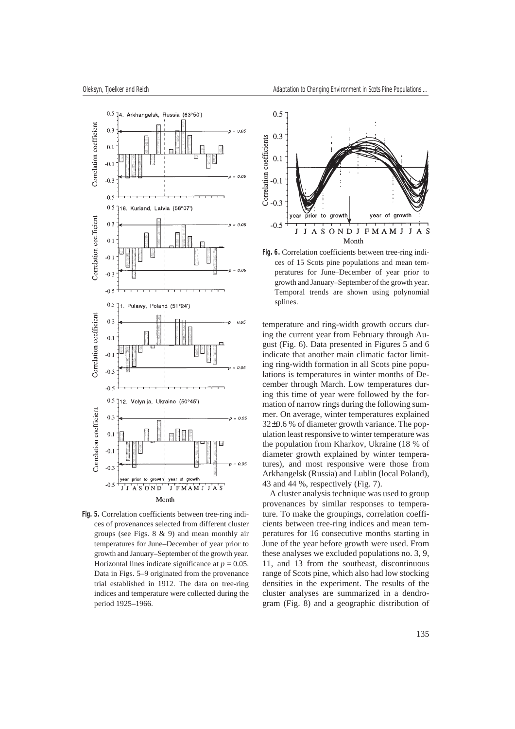

**Fig. 5.** Correlation coefficients between tree-ring indices of provenances selected from different cluster groups (see Figs. 8 & 9) and mean monthly air temperatures for June–December of year prior to growth and January–September of the growth year. Horizontal lines indicate significance at  $p = 0.05$ . Data in Figs. 5–9 originated from the provenance trial established in 1912. The data on tree-ring indices and temperature were collected during the period 1925–1966.



**Fig. 6.** Correlation coefficients between tree-ring indices of 15 Scots pine populations and mean temperatures for June–December of year prior to growth and January–September of the growth year. Temporal trends are shown using polynomial splines.

temperature and ring-width growth occurs during the current year from February through August (Fig. 6). Data presented in Figures 5 and 6 indicate that another main climatic factor limiting ring-width formation in all Scots pine populations is temperatures in winter months of December through March. Low temperatures during this time of year were followed by the formation of narrow rings during the following summer. On average, winter temperatures explained 32±0.6 % of diameter growth variance. The population least responsive to winter temperature was the population from Kharkov, Ukraine (18 % of diameter growth explained by winter temperatures), and most responsive were those from Arkhangelsk (Russia) and Lublin (local Poland), 43 and 44 %, respectively (Fig. 7).

A cluster analysis technique was used to group provenances by similar responses to temperature. To make the groupings, correlation coefficients between tree-ring indices and mean temperatures for 16 consecutive months starting in June of the year before growth were used. From these analyses we excluded populations no. 3, 9, 11, and 13 from the southeast, discontinuous range of Scots pine, which also had low stocking densities in the experiment. The results of the cluster analyses are summarized in a dendrogram (Fig. 8) and a geographic distribution of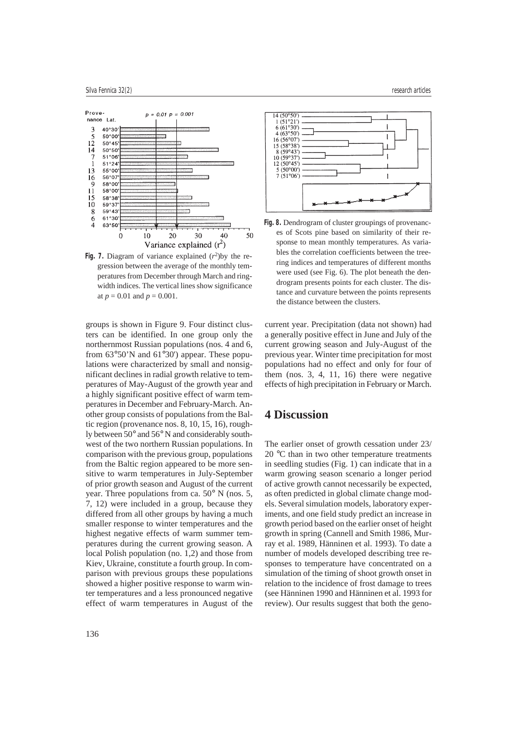

**Fig. 7.** Diagram of variance explained  $(r^2)$ by the regression between the average of the monthly temperatures from December through March and ringwidth indices. The vertical lines show significance at  $p = 0.01$  and  $p = 0.001$ .

groups is shown in Figure 9. Four distinct clusters can be identified. In one group only the northernmost Russian populations (nos. 4 and 6, from 63°50'N and 61°30') appear. These populations were characterized by small and nonsignificant declines in radial growth relative to temperatures of May-August of the growth year and a highly significant positive effect of warm temperatures in December and February-March. Another group consists of populations from the Baltic region (provenance nos. 8, 10, 15, 16), roughly between 50° and 56° N and considerably southwest of the two northern Russian populations. In comparison with the previous group, populations from the Baltic region appeared to be more sensitive to warm temperatures in July-September of prior growth season and August of the current year. Three populations from ca. 50° N (nos. 5, 7, 12) were included in a group, because they differed from all other groups by having a much smaller response to winter temperatures and the highest negative effects of warm summer temperatures during the current growing season. A local Polish population (no. 1,2) and those from Kiev, Ukraine, constitute a fourth group. In comparison with previous groups these populations showed a higher positive response to warm winter temperatures and a less pronounced negative effect of warm temperatures in August of the



**Fig. 8.** Dendrogram of cluster groupings of provenances of Scots pine based on similarity of their response to mean monthly temperatures. As variables the correlation coefficients between the treering indices and temperatures of different months were used (see Fig. 6). The plot beneath the dendrogram presents points for each cluster. The distance and curvature between the points represents the distance between the clusters.

current year. Precipitation (data not shown) had a generally positive effect in June and July of the current growing season and July-August of the previous year. Winter time precipitation for most populations had no effect and only for four of them (nos. 3, 4, 11, 16) there were negative effects of high precipitation in February or March.

# **4 Discussion**

The earlier onset of growth cessation under 23/ 20 °C than in two other temperature treatments in seedling studies (Fig. 1) can indicate that in a warm growing season scenario a longer period of active growth cannot necessarily be expected, as often predicted in global climate change models. Several simulation models, laboratory experiments, and one field study predict an increase in growth period based on the earlier onset of height growth in spring (Cannell and Smith 1986, Murray et al. 1989, Hänninen et al. 1993). To date a number of models developed describing tree responses to temperature have concentrated on a simulation of the timing of shoot growth onset in relation to the incidence of frost damage to trees (see Hänninen 1990 and Hänninen et al. 1993 for review). Our results suggest that both the geno-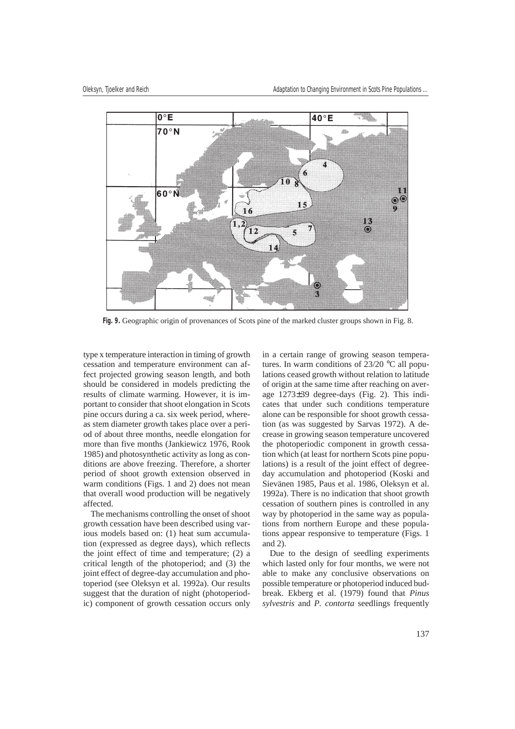

**Fig. 9.** Geographic origin of provenances of Scots pine of the marked cluster groups shown in Fig. 8.

type x temperature interaction in timing of growth cessation and temperature environment can affect projected growing season length, and both should be considered in models predicting the results of climate warming. However, it is important to consider that shoot elongation in Scots pine occurs during a ca. six week period, whereas stem diameter growth takes place over a period of about three months, needle elongation for more than five months (Jankiewicz 1976, Rook 1985) and photosynthetic activity as long as conditions are above freezing. Therefore, a shorter period of shoot growth extension observed in warm conditions (Figs. 1 and 2) does not mean that overall wood production will be negatively affected.

The mechanisms controlling the onset of shoot growth cessation have been described using various models based on: (1) heat sum accumulation (expressed as degree days), which reflects the joint effect of time and temperature; (2) a critical length of the photoperiod; and (3) the joint effect of degree-day accumulation and photoperiod (see Oleksyn et al. 1992a). Our results suggest that the duration of night (photoperiodic) component of growth cessation occurs only in a certain range of growing season temperatures. In warm conditions of 23/20 °C all populations ceased growth without relation to latitude of origin at the same time after reaching on average 1273±39 degree-days (Fig. 2). This indicates that under such conditions temperature alone can be responsible for shoot growth cessation (as was suggested by Sarvas 1972). A decrease in growing season temperature uncovered the photoperiodic component in growth cessation which (at least for northern Scots pine populations) is a result of the joint effect of degreeday accumulation and photoperiod (Koski and Sievänen 1985, Paus et al. 1986, Oleksyn et al. 1992a). There is no indication that shoot growth cessation of southern pines is controlled in any way by photoperiod in the same way as populations from northern Europe and these populations appear responsive to temperature (Figs. 1 and 2).

Due to the design of seedling experiments which lasted only for four months, we were not able to make any conclusive observations on possible temperature or photoperiod induced budbreak. Ekberg et al. (1979) found that *Pinus sylvestris* and *P. contorta* seedlings frequently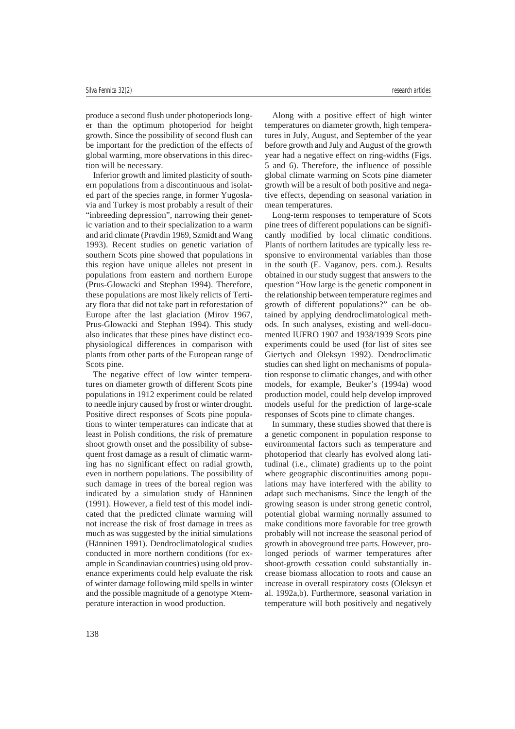produce a second flush under photoperiods longer than the optimum photoperiod for height growth. Since the possibility of second flush can be important for the prediction of the effects of global warming, more observations in this direction will be necessary.

Inferior growth and limited plasticity of southern populations from a discontinuous and isolated part of the species range, in former Yugoslavia and Turkey is most probably a result of their "inbreeding depression", narrowing their genetic variation and to their specialization to a warm and arid climate (Pravdin 1969, Szmidt and Wang 1993). Recent studies on genetic variation of southern Scots pine showed that populations in this region have unique alleles not present in populations from eastern and northern Europe (Prus-Glowacki and Stephan 1994). Therefore, these populations are most likely relicts of Tertiary flora that did not take part in reforestation of Europe after the last glaciation (Mirov 1967, Prus-Glowacki and Stephan 1994). This study also indicates that these pines have distinct ecophysiological differences in comparison with plants from other parts of the European range of Scots pine.

The negative effect of low winter temperatures on diameter growth of different Scots pine populations in 1912 experiment could be related to needle injury caused by frost or winter drought. Positive direct responses of Scots pine populations to winter temperatures can indicate that at least in Polish conditions, the risk of premature shoot growth onset and the possibility of subsequent frost damage as a result of climatic warming has no significant effect on radial growth, even in northern populations. The possibility of such damage in trees of the boreal region was indicated by a simulation study of Hänninen (1991). However, a field test of this model indicated that the predicted climate warming will not increase the risk of frost damage in trees as much as was suggested by the initial simulations (Hänninen 1991). Dendroclimatological studies conducted in more northern conditions (for example in Scandinavian countries) using old provenance experiments could help evaluate the risk of winter damage following mild spells in winter and the possible magnitude of a genotype  $\times$  temperature interaction in wood production.

Along with a positive effect of high winter temperatures on diameter growth, high temperatures in July, August, and September of the year before growth and July and August of the growth year had a negative effect on ring-widths (Figs. 5 and 6). Therefore, the influence of possible global climate warming on Scots pine diameter

growth will be a result of both positive and negative effects, depending on seasonal variation in

mean temperatures. Long-term responses to temperature of Scots pine trees of different populations can be significantly modified by local climatic conditions. Plants of northern latitudes are typically less responsive to environmental variables than those in the south (E. Vaganov, pers. com.). Results obtained in our study suggest that answers to the question "How large is the genetic component in the relationship between temperature regimes and growth of different populations?" can be obtained by applying dendroclimatological methods. In such analyses, existing and well-documented IUFRO 1907 and 1938/1939 Scots pine experiments could be used (for list of sites see Giertych and Oleksyn 1992). Dendroclimatic studies can shed light on mechanisms of population response to climatic changes, and with other models, for example, Beuker's (1994a) wood production model, could help develop improved models useful for the prediction of large-scale responses of Scots pine to climate changes.

In summary, these studies showed that there is a genetic component in population response to environmental factors such as temperature and photoperiod that clearly has evolved along latitudinal (i.e., climate) gradients up to the point where geographic discontinuities among populations may have interfered with the ability to adapt such mechanisms. Since the length of the growing season is under strong genetic control, potential global warming normally assumed to make conditions more favorable for tree growth probably will not increase the seasonal period of growth in aboveground tree parts. However, prolonged periods of warmer temperatures after shoot-growth cessation could substantially increase biomass allocation to roots and cause an increase in overall respiratory costs (Oleksyn et al. 1992a,b). Furthermore, seasonal variation in temperature will both positively and negatively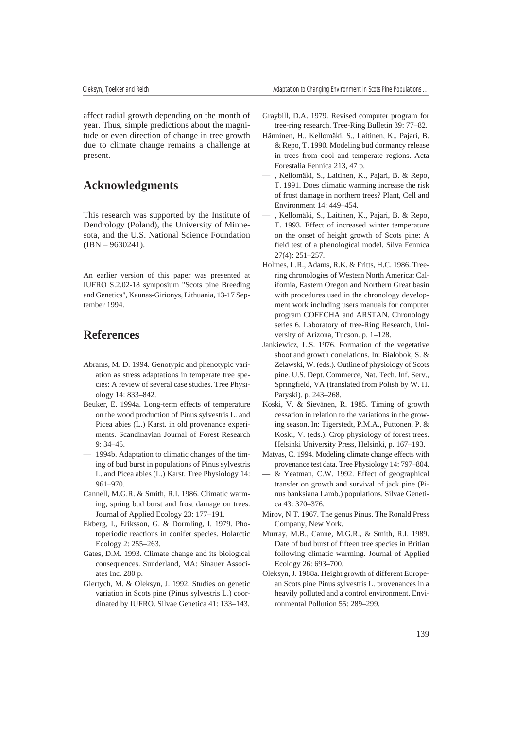affect radial growth depending on the month of year. Thus, simple predictions about the magnitude or even direction of change in tree growth due to climate change remains a challenge at present.

### **Acknowledgments**

This research was supported by the Institute of Dendrology (Poland), the University of Minnesota, and the U.S. National Science Foundation (IBN – 9630241).

An earlier version of this paper was presented at IUFRO S.2.02-18 symposium "Scots pine Breeding and Genetics", Kaunas-Girionys, Lithuania, 13-17 September 1994.

### **References**

- Abrams, M. D. 1994. Genotypic and phenotypic variation as stress adaptations in temperate tree species: A review of several case studies. Tree Physiology 14: 833–842.
- Beuker, E. 1994a. Long-term effects of temperature on the wood production of Pinus sylvestris L. and Picea abies (L.) Karst. in old provenance experiments. Scandinavian Journal of Forest Research 9: 34–45.
- 1994b. Adaptation to climatic changes of the timing of bud burst in populations of Pinus sylvestris L. and Picea abies (L.) Karst. Tree Physiology 14: 961–970.
- Cannell, M.G.R. & Smith, R.I. 1986. Climatic warming, spring bud burst and frost damage on trees. Journal of Applied Ecology 23: 177–191.
- Ekberg, I., Eriksson, G. & Dormling, I. 1979. Photoperiodic reactions in conifer species. Holarctic Ecology 2: 255–263.
- Gates, D.M. 1993. Climate change and its biological consequences. Sunderland, MA: Sinauer Associates Inc. 280 p.
- Giertych, M. & Oleksyn, J. 1992. Studies on genetic variation in Scots pine (Pinus sylvestris L.) coordinated by IUFRO. Silvae Genetica 41: 133–143.
- Graybill, D.A. 1979. Revised computer program for tree-ring research. Tree-Ring Bulletin 39: 77–82.
- Hänninen, H., Kellomäki, S., Laitinen, K., Pajari, B. & Repo, T. 1990. Modeling bud dormancy release in trees from cool and temperate regions. Acta Forestalia Fennica 213, 47 p.
- , Kellomäki, S., Laitinen, K., Pajari, B. & Repo, T. 1991. Does climatic warming increase the risk of frost damage in northern trees? Plant, Cell and Environment 14: 449–454.
- , Kellomäki, S., Laitinen, K., Pajari, B. & Repo, T. 1993. Effect of increased winter temperature on the onset of height growth of Scots pine: A field test of a phenological model. Silva Fennica 27(4): 251–257.
- Holmes, L.R., Adams, R.K. & Fritts, H.C. 1986. Treering chronologies of Western North America: California, Eastern Oregon and Northern Great basin with procedures used in the chronology development work including users manuals for computer program COFECHA and ARSTAN. Chronology series 6. Laboratory of tree-Ring Research, University of Arizona, Tucson. p. 1–128.
- Jankiewicz, L.S. 1976. Formation of the vegetative shoot and growth correlations. In: Bialobok, S. & Zelawski, W. (eds.). Outline of physiology of Scots pine. U.S. Dept. Commerce, Nat. Tech. Inf. Serv., Springfield, VA (translated from Polish by W. H. Paryski). p. 243–268.
- Koski, V. & Sievänen, R. 1985. Timing of growth cessation in relation to the variations in the growing season. In: Tigerstedt, P.M.A., Puttonen, P. & Koski, V. (eds.). Crop physiology of forest trees. Helsinki University Press, Helsinki, p. 167–193.
- Matyas, C. 1994. Modeling climate change effects with provenance test data. Tree Physiology 14: 797–804.
- & Yeatman, C.W. 1992. Effect of geographical transfer on growth and survival of jack pine (Pinus banksiana Lamb.) populations. Silvae Genetica 43: 370–376.
- Mirov, N.T. 1967. The genus Pinus. The Ronald Press Company, New York.
- Murray, M.B., Canne, M.G.R., & Smith, R.I. 1989. Date of bud burst of fifteen tree species in Britian following climatic warming. Journal of Applied Ecology 26: 693–700.
- Oleksyn, J. 1988a. Height growth of different European Scots pine Pinus sylvestris L. provenances in a heavily polluted and a control environment. Environmental Pollution 55: 289–299.